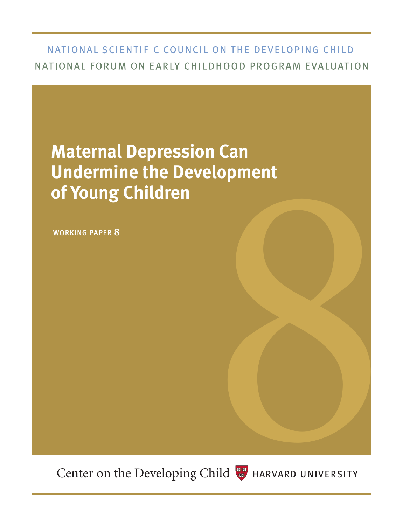# NATIONAL SCIENTIFIC COUNCIL ON THE DEVELOPING CHILD NATIONAL FORUM ON EARLY CHILDHOOD PROGRAM EVALUATION

# **Maternal Depression Can Undermine the Development of Young Children** Example<br> **Example 18 ADDRESS**<br>
Brid Contract Branch UNIVERSITY

working paper 8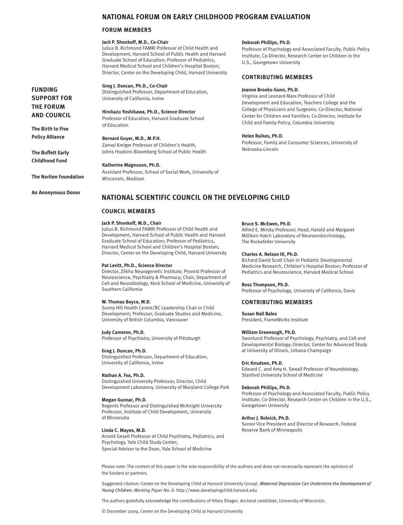## **national forum on early childhood program evaluation**

#### **FORUM members**

#### **Jack P. Shonkoff, M.D., Co-Chair**

**Greg J. Duncan, Ph.D., Co-Chair**

University of California, Irvine

**Bernard Guyer, M.D., M.P.H.**

of Education

Julius B. Richmond FAMRI Professor of Child Health and Development, Harvard School of Public Health and Harvard Graduate School of Education; Professor of Pediatrics, Harvard Medical School and Children's Hospital Boston; Director, Center on the Developing Child, Harvard University

Distinguished Professor, Department of Education,

**Hirokazu Yoshikawa, Ph.D., Science Director** Professor of Education, Harvard Graduate School

Zanvyl Kreiger Professor of Children's Health, Johns Hopkins Bloomberg School of Public Health

## **funding support for the forum and council**

**The Birth to Five Policy Alliance**

**The Buffett Early Childhood Fund**

**The Norlien Foundation**

**An Anonymous Donor**

#### **Katherine Magnuson, Ph.D.** Assistant Professor, School of Social Work, University of

Wisconsin, Madison

## **Deborah Phillips, Ph.D.**

Professor of Psychology and Associated Faculty, Public Policy Institute; Co-Director, Research Center on Children in the U.S., Georgetown University

## **contributing members**

#### **Jeanne Brooks-Gunn, Ph.D.**

Virginia and Leonard Marx Professor of Child Development and Education, Teachers College and the College of Physicians and Surgeons; Co-Director, National Center for Children and Families; Co-Director, Institute for Child and Family Policy, Columbia University

#### **Helen Raikes, Ph.D.**

Professor, Family and Consumer Sciences, University of Nebraska-Lincoln

## **national scientific council on the developing child**

#### **council members**

## **Jack P. Shonkoff, M.D., Chair**

Julius B. Richmond FAMRI Professor of Child Health and Development, Harvard School of Public Health and Harvard Graduate School of Education; Professor of Pediatrics, Harvard Medical School and Children's Hospital Boston; Director, Center on the Developing Child, Harvard University

#### **Pat Levitt, Ph.D., Science Director**

Director, Zilkha Neurogenetic Institute; Provost Professor of Neuroscience, Psychiatry & Pharmacy; Chair, Department of Cell and Neurobiology, Keck School of Medicine, University of Southern California

#### **W. Thomas Boyce, M.D.**

Sunny Hill Health Centre/BC Leadership Chair in Child Development; Professor, Graduate Studies and Medicine, University of British Columbia, Vancouver

**Judy Cameron, Ph.D.** Professor of Psychiatry, University of Pittsburgh

#### **Greg J. Duncan, Ph.D.**

Distinguished Professor, Department of Education, University of California, Irvine

#### **Nathan A. Fox, Ph.D.**

Distinguished University Professor; Director, Child Development Laboratory, University of Maryland College Park

#### **Megan Gunnar, Ph.D.**

Regents Professor and Distinguished McKnight University Professor, Institute of Child Development, University of Minnesota

#### **Linda C. Mayes, M.D.**

Arnold Gesell Professor of Child Psychiatry, Pediatrics, and Psychology, Yale Child Study Center; Special Advisor to the Dean, Yale School of Medicine

#### **Bruce S. McEwen, Ph.D.**

Alfred E. Mirsky Professor; Head, Harold and Margaret Milliken Hatch Laboratory of Neuroendocrinology, The Rockefeller University

#### **Charles A. Nelson III, Ph.D.**

Richard David Scott Chair in Pediatric Developmental Medicine Research, Children's Hospital Boston; Professor of Pediatrics and Neuroscience, Harvard Medical School

**Ross Thompson, Ph.D.** Professor of Psychology, University of California, Davis

#### **contributing members**

**Susan Nall Bales** President, FrameWorks Institute

#### **William Greenough, Ph.D.**

Swanlund Professor of Psychology, Psychiatry, and Cell and Developmental Biology; Director, Center for Advanced Study at University of Illinois, Urbana-Champaign

#### **Eric Knudsen, Ph.D.**

Edward C. and Amy H. Sewall Professor of Neurobiology, Stanford University School of Medicine

#### **Deborah Phillips, Ph.D.**

Professor of Psychology and Associated Faculty, Public Policy Institute; Co-Director, Research Center on Children in the U.S., Georgetown University

#### **Arthur J. Rolnick, Ph.D.**

Senior Vice President and Director of Research, Federal Reserve Bank of Minneapolis

Please note: The content of this paper is the sole responsibility of the authors and does not necessarily represent the opinions of the funders or partners.

Suggested citation: Center on the Developing Child at Harvard University (2009). *Maternal Depression Can Undermine the Development of Young Children: Working Paper No. 8*. http://www.developingchild.harvard.edu

The authors gratefully acknowledge the contributions of Hilary Shager, doctoral candidate, University of Wisconsin.

© December 2009, Center on the Developing Child at Harvard University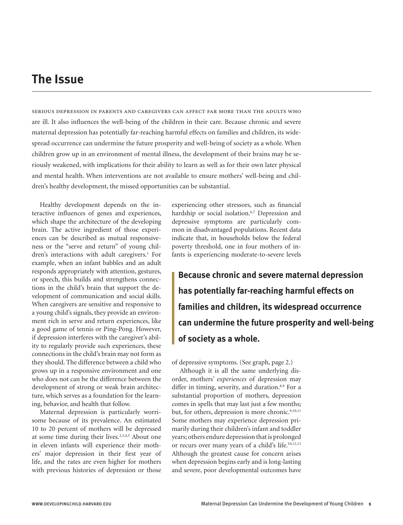## **The Issue**

serious depression in parents and caregivers can affect far more than the adults who are ill. It also influences the well-being of the children in their care. Because chronic and severe maternal depression has potentially far-reaching harmful effects on families and children, its widespread occurrence can undermine the future prosperity and well-being of society as a whole. When children grow up in an environment of mental illness, the development of their brains may be seriously weakened, with implications for their ability to learn as well as for their own later physical and mental health. When interventions are not available to ensure mothers' well-being and children's healthy development, the missed opportunities can be substantial.

Healthy development depends on the interactive influences of genes and experiences, which shape the architecture of the developing brain. The active ingredient of those experiences can be described as mutual responsiveness or the "serve and return" of young children's interactions with adult caregivers.<sup>1</sup> For example, when an infant babbles and an adult responds appropriately with attention, gestures, or speech, this builds and strengthens connections in the child's brain that support the development of communication and social skills. When caregivers are sensitive and responsive to a young child's signals, they provide an environment rich in serve and return experiences, like a good game of tennis or Ping-Pong. However, if depression interferes with the caregiver's ability to regularly provide such experiences, these connections in the child's brain may not form as they should. The difference between a child who grows up in a responsive environment and one who does not can be the difference between the development of strong or weak brain architecture, which serves as a foundation for the learning, behavior, and health that follow.

Maternal depression is particularly worrisome because of its prevalence. An estimated 10 to 20 percent of mothers will be depressed at some time during their lives.<sup>2,3,4,5</sup> About one in eleven infants will experience their mothers' major depression in their first year of life, and the rates are even higher for mothers with previous histories of depression or those

experiencing other stressors, such as financial hardship or social isolation.<sup>6,7</sup> Depression and depressive symptoms are particularly common in disadvantaged populations. Recent data indicate that, in households below the federal poverty threshold, one in four mothers of infants is experiencing moderate-to-severe levels

**Because chronic and severe maternal depression has potentially far-reaching harmful effects on families and children, its widespread occurrence can undermine the future prosperity and well-being of society as a whole.**

of depressive symptoms. (See graph, page 2.)

Although it is all the same underlying disorder, mothers' *experiences* of depression may differ in timing, severity, and duration.<sup>8,9</sup> For a substantial proportion of mothers, depression comes in spells that may last just a few months; but, for others, depression is more chronic.<sup>9,10,11</sup> Some mothers may experience depression primarily during their children's infant and toddler years; others endure depression that is prolonged or recurs over many years of a child's life.10,12,13 Although the greatest cause for concern arises when depression begins early and is long-lasting and severe, poor developmental outcomes have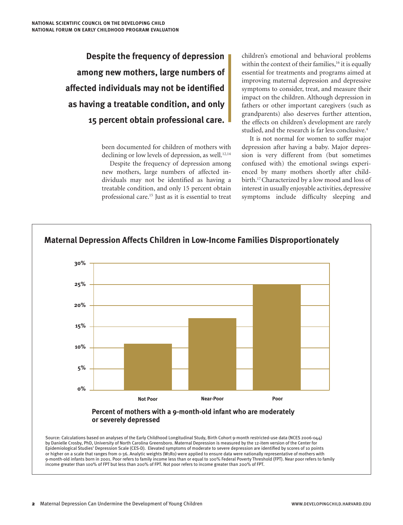**Despite the frequency of depression among new mothers, large numbers of affected individuals may not be identified as having a treatable condition, and only 15 percent obtain professional care.**

> been documented for children of mothers with declining or low levels of depression, as well. $12,14$

> Despite the frequency of depression among new mothers, large numbers of affected individuals may not be identified as having a treatable condition, and only 15 percent obtain professional care.15 Just as it is essential to treat

children's emotional and behavioral problems within the context of their families,  $16$  it is equally essential for treatments and programs aimed at improving maternal depression and depressive symptoms to consider, treat, and measure their impact on the children. Although depression in fathers or other important caregivers (such as grandparents) also deserves further attention, the effects on children's development are rarely studied, and the research is far less conclusive.<sup>4</sup>

It is not normal for women to suffer major depression after having a baby. Major depression is very different from (but sometimes confused with) the emotional swings experienced by many mothers shortly after childbirth.17 Characterized by a low mood and loss of interest in usually enjoyable activities, depressive symptoms include difficulty sleeping and

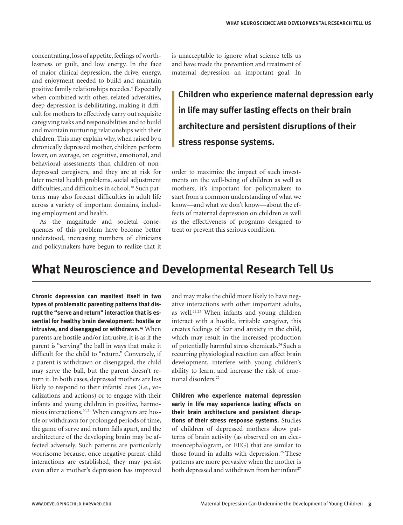concentrating, loss of appetite, feelings of worthlessness or guilt, and low energy. In the face of major clinical depression, the drive, energy, and enjoyment needed to build and maintain positive family relationships recedes.<sup>4</sup> Especially when combined with other, related adversities, deep depression is debilitating, making it difficult for mothers to effectively carry out requisite caregiving tasks and responsibilities and to build and maintain nurturing relationships with their children. This may explain why, when raised by a chronically depressed mother, children perform lower, on average, on cognitive, emotional, and behavioral assessments than children of nondepressed caregivers, and they are at risk for later mental health problems, social adjustment difficulties, and difficulties in school.<sup>18</sup> Such patterns may also forecast difficulties in adult life across a variety of important domains, including employment and health.

As the magnitude and societal consequences of this problem have become better understood, increasing numbers of clinicians and policymakers have begun to realize that it

is unacceptable to ignore what science tells us and have made the prevention and treatment of maternal depression an important goal. In

**Children who experience maternal depression early in life may suffer lasting effects on their brain architecture and persistent disruptions of their stress response systems.**

order to maximize the impact of such investments on the well-being of children as well as mothers, it's important for policymakers to start from a common understanding of what we know—and what we don't know—about the effects of maternal depression on children as well as the effectiveness of programs designed to treat or prevent this serious condition.

# **What Neuroscience and Developmental Research Tell Us**

**Chronic depression can manifest itself in two types of problematic parenting patterns that disrupt the "serve and return" interaction that is essential for healthy brain development: hostile or intrusive, and disengaged or withdrawn.19** When parents are hostile and/or intrusive, it is as if the parent is "serving" the ball in ways that make it difficult for the child to "return." Conversely, if a parent is withdrawn or disengaged, the child may serve the ball, but the parent doesn't return it. In both cases, depressed mothers are less likely to respond to their infants' cues (i.e., vocalizations and actions) or to engage with their infants and young children in positive, harmonious interactions.<sup>20,21</sup> When caregivers are hostile or withdrawn for prolonged periods of time, the game of serve and return falls apart, and the architecture of the developing brain may be affected adversely. Such patterns are particularly worrisome because, once negative parent-child interactions are established, they may persist even after a mother's depression has improved

and may make the child more likely to have negative interactions with other important adults, as well.22,23 When infants and young children interact with a hostile, irritable caregiver, this creates feelings of fear and anxiety in the child, which may result in the increased production of potentially harmful stress chemicals.24 Such a recurring physiological reaction can affect brain development, interfere with young children's ability to learn, and increase the risk of emotional disorders<sup>25</sup>

**Children who experience maternal depression early in life may experience lasting effects on their brain architecture and persistent disruptions of their stress response systems.** Studies of children of depressed mothers show patterns of brain activity (as observed on an electroencephalogram, or EEG) that are similar to those found in adults with depression.<sup>26</sup> These patterns are more pervasive when the mother is both depressed and withdrawn from her infant<sup>27</sup>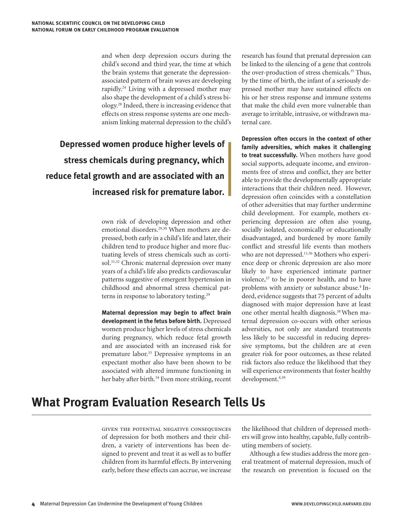and when deep depression occurs during the child's second and third year, the time at which the brain systems that generate the depressionassociated pattern of brain waves are developing rapidly.24 Living with a depressed mother may also shape the development of a child's stress biology.28 Indeed, there is increasing evidence that effects on stress response systems are one mechanism linking maternal depression to the child's

# **Depressed women produce higher levels of stress chemicals during pregnancy, which reduce fetal growth and are associated with an increased risk for premature labor.**

own risk of developing depression and other emotional disorders.<sup>29,30</sup> When mothers are depressed, both early in a child's life and later, their children tend to produce higher and more fluctuating levels of stress chemicals such as cortisol.<sup>31,32</sup> Chronic maternal depression over many years of a child's life also predicts cardiovascular patterns suggestive of emergent hypertension in childhood and abnormal stress chemical patterns in response to laboratory testing.<sup>29</sup>

**Maternal depression may begin to affect brain development in the fetus before birth.** Depressed women produce higher levels of stress chemicals during pregnancy, which reduce fetal growth and are associated with an increased risk for premature labor.<sup>33</sup> Depressive symptoms in an expectant mother also have been shown to be associated with altered immune functioning in her baby after birth.<sup>34</sup> Even more striking, recent research has found that prenatal depression can be linked to the silencing of a gene that controls the over-production of stress chemicals.35 Thus, by the time of birth, the infant of a seriously depressed mother may have sustained effects on his or her stress response and immune systems that make the child even more vulnerable than average to irritable, intrusive, or withdrawn maternal care.

**Depression often occurs in the context of other family adversities, which makes it challenging to treat successfully.** When mothers have good social supports, adequate income, and environments free of stress and conflict, they are better able to provide the developmentally appropriate interactions that their children need. However, depression often coincides with a constellation of other adversities that may further undermine child development. For example, mothers experiencing depression are often also young, socially isolated, economically or educationally disadvantaged, and burdened by more family conflict and stressful life events than mothers who are not depressed.<sup>11,36</sup> Mothers who experience deep or chronic depression are also more likely to have experienced intimate partner violence, $37$  to be in poorer health, and to have problems with anxiety or substance abuse.<sup>4</sup> Indeed, evidence suggests that 75 percent of adults diagnosed with major depression have at least one other mental health diagnosis.<sup>38</sup> When maternal depression co-occurs with other serious adversities, not only are standard treatments less likely to be successful in reducing depressive symptoms, but the children are at even greater risk for poor outcomes, as these related risk factors also reduce the likelihood that they will experience environments that foster healthy development.4,39

# **What Program Evaluation Research Tells Us**

given the potential negative consequences of depression for both mothers and their children, a variety of interventions has been designed to prevent and treat it as well as to buffer children from its harmful effects. By intervening early, before these effects can accrue, we increase the likelihood that children of depressed mothers will grow into healthy, capable, fully contributing members of society.

Although a few studies address the more general treatment of maternal depression, much of the research on prevention is focused on the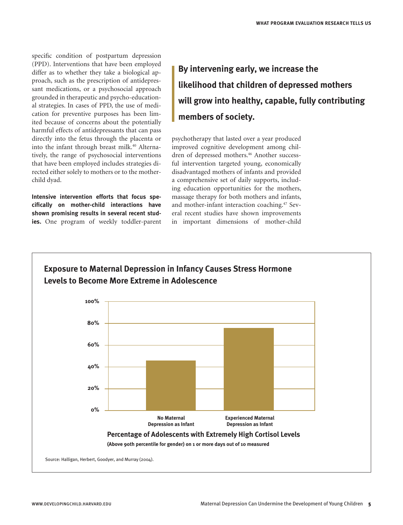specific condition of postpartum depression (PPD). Interventions that have been employed differ as to whether they take a biological approach, such as the prescription of antidepressant medications, or a psychosocial approach grounded in therapeutic and psycho-educational strategies. In cases of PPD, the use of medication for preventive purposes has been limited because of concerns about the potentially harmful effects of antidepressants that can pass directly into the fetus through the placenta or into the infant through breast milk.<sup>40</sup> Alternatively, the range of psychosocial interventions that have been employed includes strategies directed either solely to mothers or to the motherchild dyad.

**Intensive intervention efforts that focus specifically on mother-child interactions have shown promising results in several recent studies.** One program of weekly toddler-parent **By intervening early, we increase the likelihood that children of depressed mothers will grow into healthy, capable, fully contributing members of society.**

psychotherapy that lasted over a year produced improved cognitive development among children of depressed mothers.46 Another successful intervention targeted young, economically disadvantaged mothers of infants and provided a comprehensive set of daily supports, including education opportunities for the mothers, massage therapy for both mothers and infants, and mother-infant interaction coaching.47 Several recent studies have shown improvements in important dimensions of mother-child

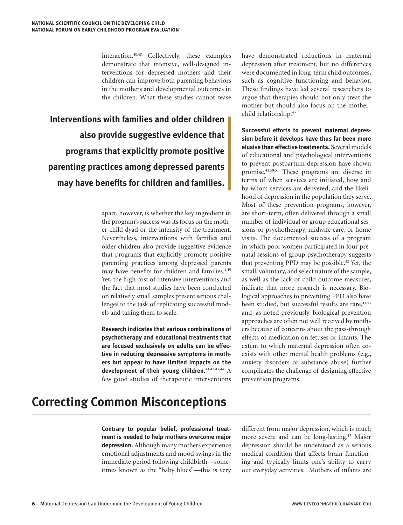interaction.40,48 Collectively, these examples demonstrate that intensive, well-designed interventions for depressed mothers and their children can improve both parenting behaviors in the mothers and developmental outcomes in the children. What these studies cannot tease

**Interventions with families and older children also provide suggestive evidence that programs that explicitly promote positive parenting practices among depressed parents may have benefits for children and families.**

> apart, however, is whether the key ingredient in the program's success was its focus on the mother-child dyad or the intensity of the treatment. Nevertheless, interventions with families and older children also provide suggestive evidence that programs that explicitly promote positive parenting practices among depressed parents may have benefits for children and families.<sup>4,49</sup> Yet, the high cost of intensive interventions and the fact that most studies have been conducted on relatively small samples present serious challenges to the task of replicating successful models and taking them to scale.

> **Research indicates that various combinations of psychotherapy and educational treatments that are focused exclusively on adults can be effective in reducing depressive symptoms in mothers but appear to have limited impacts on the development of their young children.**41,42,43,44 A few good studies of therapeutic interventions

have demonstrated reductions in maternal depression after treatment, but no differences were documented in long-term child outcomes, such as cognitive functioning and behavior. These findings have led several researchers to argue that therapies should not only treat the mother but should also focus on the motherchild relationship.45

**Successful efforts to prevent maternal depression before it develops have thus far been more elusive than effective treatments.** Several models of educational and psychological interventions to prevent postpartum depression have shown promise.41,50,51 These programs are diverse in terms of when services are initiated, how and by whom services are delivered, and the likelihood of depression in the population they serve. Most of these prevention programs, however, are short-term, often delivered through a small number of individual or group educational sessions or psychotherapy, midwife care, or home visits. The documented success of a program in which poor women participated in four prenatal sessions of group psychotherapy suggests that preventing PPD may be possible.52 Yet, the small, voluntary, and select nature of the sample, as well as the lack of child outcome measures, indicate that more research is necessary. Biological approaches to preventing PPD also have been studied, but successful results are rare, 41,53 and, as noted previously, biological prevention approaches are often not well received by mothers because of concerns about the pass-through effects of medication on fetuses or infants. The extent to which maternal depression often coexists with other mental health problems (e.g., anxiety disorders or substance abuse) further complicates the challenge of designing effective prevention programs.

# **Correcting Common Misconceptions**

**Contrary to popular belief, professional treatment is needed to help mothers overcome major depression.** Although many mothers experience emotional adjustments and mood swings in the immediate period following childbirth—sometimes known as the "baby blues"—this is very different from major depression, which is much more severe and can be long-lasting.<sup>17</sup> Major depression should be understood as a serious medical condition that affects brain functioning and typically limits one's ability to carry out everyday activities. Mothers of infants are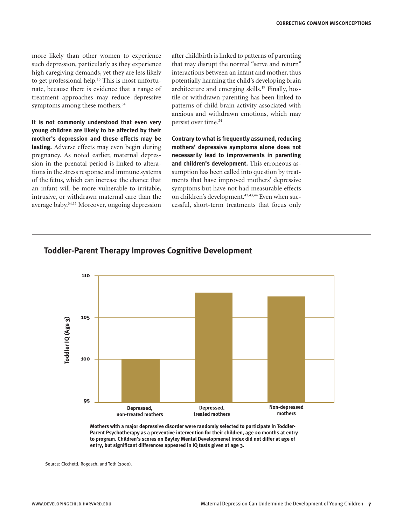more likely than other women to experience such depression, particularly as they experience high caregiving demands, yet they are less likely to get professional help.<sup>15</sup> This is most unfortunate, because there is evidence that a range of treatment approaches may reduce depressive symptoms among these mothers.<sup>54</sup>

**It is not commonly understood that even very young children are likely to be affected by their mother's depression and these effects may be lasting.** Adverse effects may even begin during pregnancy. As noted earlier, maternal depression in the prenatal period is linked to alterations in the stress response and immune systems of the fetus, which can increase the chance that an infant will be more vulnerable to irritable, intrusive, or withdrawn maternal care than the average baby.34,35 Moreover, ongoing depression

after childbirth is linked to patterns of parenting that may disrupt the normal "serve and return" interactions between an infant and mother, thus potentially harming the child's developing brain architecture and emerging skills.<sup>19</sup> Finally, hostile or withdrawn parenting has been linked to patterns of child brain activity associated with anxious and withdrawn emotions, which may persist over time.<sup>24</sup>

**Contrary to what is frequently assumed, reducing mothers' depressive symptoms alone does not necessarily lead to improvements in parenting and children's development.** This erroneous assumption has been called into question by treatments that have improved mothers' depressive symptoms but have not had measurable effects on children's development.<sup>42,43,44</sup> Even when successful, short-term treatments that focus only

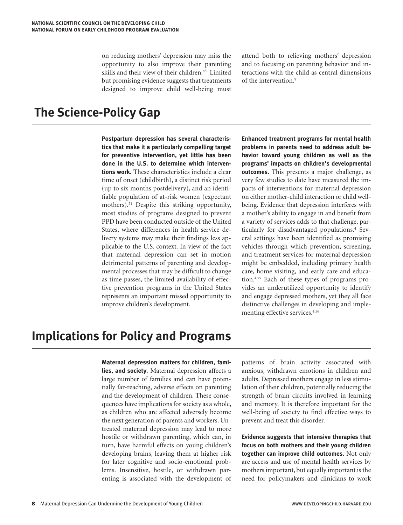on reducing mothers' depression may miss the opportunity to also improve their parenting skills and their view of their children.<sup>43</sup> Limited but promising evidence suggests that treatments designed to improve child well-being must attend both to relieving mothers' depression and to focusing on parenting behavior and interactions with the child as central dimensions of the intervention.<sup>9</sup>

# **The Science-Policy Gap**

**Postpartum depression has several characteristics that make it a particularly compelling target for preventive intervention, yet little has been done in the U.S. to determine which interventions work.** These characteristics include a clear time of onset (childbirth), a distinct risk period (up to six months postdelivery), and an identifiable population of at-risk women (expectant mothers).<sup>51</sup> Despite this striking opportunity, most studies of programs designed to prevent PPD have been conducted outside of the United States, where differences in health service delivery systems may make their findings less applicable to the U.S. context. In view of the fact that maternal depression can set in motion detrimental patterns of parenting and developmental processes that may be difficult to change as time passes, the limited availability of effective prevention programs in the United States represents an important missed opportunity to improve children's development.

**Enhanced treatment programs for mental health problems in parents need to address adult behavior toward young children as well as the programs' impacts on children's developmental outcomes.** This presents a major challenge, as very few studies to date have measured the impacts of interventions for maternal depression on either mother-child interaction or child wellbeing. Evidence that depression interferes with a mother's ability to engage in and benefit from a variety of services adds to that challenge, particularly for disadvantaged populations.<sup>4</sup> Several settings have been identified as promising vehicles through which prevention, screening, and treatment services for maternal depression might be embedded, including primary health care, home visiting, and early care and education.4,55 Each of these types of programs provides an underutilized opportunity to identify and engage depressed mothers, yet they all face distinctive challenges in developing and implementing effective services.4,56

## **Implications for Policy and Programs**

**Maternal depression matters for children, families, and society.** Maternal depression affects a large number of families and can have potentially far-reaching, adverse effects on parenting and the development of children. These consequences have implications for society as a whole, as children who are affected adversely become the next generation of parents and workers. Untreated maternal depression may lead to more hostile or withdrawn parenting, which can, in turn, have harmful effects on young children's developing brains, leaving them at higher risk for later cognitive and socio-emotional problems. Insensitive, hostile, or withdrawn parenting is associated with the development of

patterns of brain activity associated with anxious, withdrawn emotions in children and adults. Depressed mothers engage in less stimulation of their children, potentially reducing the strength of brain circuits involved in learning and memory. It is therefore important for the well-being of society to find effective ways to prevent and treat this disorder.

**Evidence suggests that intensive therapies that focus on both mothers and their young children together can improve child outcomes.** Not only are access and use of mental health services by mothers important, but equally important is the need for policymakers and clinicians to work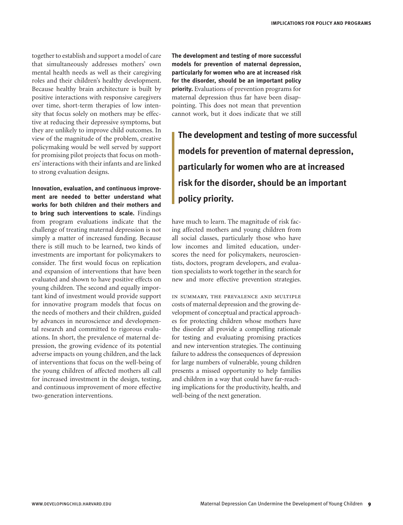together to establish and support a model of care that simultaneously addresses mothers' own mental health needs as well as their caregiving roles and their children's healthy development. Because healthy brain architecture is built by positive interactions with responsive caregivers over time, short-term therapies of low intensity that focus solely on mothers may be effective at reducing their depressive symptoms, but they are unlikely to improve child outcomes. In view of the magnitude of the problem, creative policymaking would be well served by support for promising pilot projects that focus on mothers' interactions with their infants and are linked to strong evaluation designs.

**Innovation, evaluation, and continuous improvement are needed to better understand what works for both children and their mothers and to bring such interventions to scale.** Findings from program evaluations indicate that the challenge of treating maternal depression is not simply a matter of increased funding. Because there is still much to be learned, two kinds of investments are important for policymakers to consider. The first would focus on replication and expansion of interventions that have been evaluated and shown to have positive effects on young children. The second and equally important kind of investment would provide support for innovative program models that focus on the needs of mothers and their children, guided by advances in neuroscience and developmental research and committed to rigorous evaluations. In short, the prevalence of maternal depression, the growing evidence of its potential adverse impacts on young children, and the lack of interventions that focus on the well-being of the young children of affected mothers all call for increased investment in the design, testing, and continuous improvement of more effective two-generation interventions.

**The development and testing of more successful models for prevention of maternal depression, particularly for women who are at increased risk for the disorder, should be an important policy priority.** Evaluations of prevention programs for maternal depression thus far have been disappointing. This does not mean that prevention cannot work, but it does indicate that we still

**The development and testing of more successful models for prevention of maternal depression, particularly for women who are at increased risk for the disorder, should be an important policy priority.**

have much to learn. The magnitude of risk facing affected mothers and young children from all social classes, particularly those who have low incomes and limited education, underscores the need for policymakers, neuroscientists, doctors, program developers, and evaluation specialists to work together in the search for new and more effective prevention strategies.

in summary, the prevalence and multiple costs of maternal depression and the growing development of conceptual and practical approaches for protecting children whose mothers have the disorder all provide a compelling rationale for testing and evaluating promising practices and new intervention strategies. The continuing failure to address the consequences of depression for large numbers of vulnerable, young children presents a missed opportunity to help families and children in a way that could have far-reaching implications for the productivity, health, and well-being of the next generation.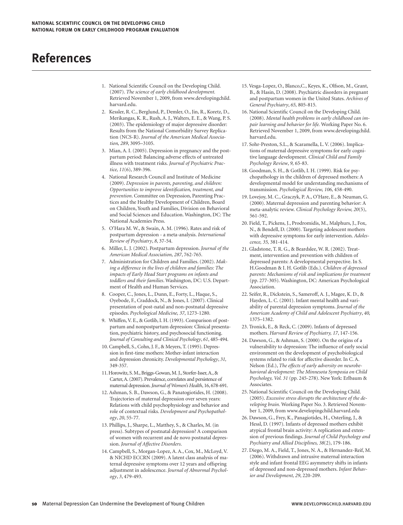## **References**

- 1. National Scientific Council on the Developing Child. (2007). *The science of early childhood development.*  Retrieved November 1, 2009, from www.developingchild. harvard.edu.
- 2. Kessler, R. C., Berglund, P., Demler, O., Jin, R., Koretz, D., Merikangas, K. R., Rush, A. J., Walters, E. E., & Wang, P. S. (2003). The epidemiology of major depressive disorder: Results from the National Comorbidity Survey Replication (NCS-R). *Journal of the American Medical Association, 289*, 3095–3105.
- 3. Mian, A. I. (2005). Depression in pregnancy and the postpartum period: Balancing adverse effects of untreated illness with treatment risks. *Journal of Psychiatric Practice, 11*(6), 389-396.
- 4. National Research Council and Institute of Medicine (2009). *Depression in parents, parenting, and children: Opportunities to improve identification, treatment, and prevention*. Committee on Depression, Parenting Practices and the Healthy Development of Children, Board on Children, Youth and Families, Division on Behavioral and Social Sciences and Education. Washington, DC: The National Academies Press.
- 5. O'Hara M. W., & Swain, A. M. (1996). Rates and risk of postpartum depression - a meta-analysis. *International Review of Psychiatry*, *8*, 37-54.
- 6. Miller, L. J. (2002). Postpartum depression. *Journal of the American Medical Association, 287*, 762-765.
- 7. Administration for Children and Families. (2002). *Making a difference in the lives of children and families: The impacts of Early Head Start programs on infants and toddlers and their families*. Washington, DC: U.S. Department of Health and Human Services.
- 8. Cooper, C., Jones, L., Dunn, E., Forty, L., Haque, S., Oyebode, F., Craddock, N., & Jones, I. (2007). Clinical presentation of post-natal and non-postnatal depressive episodes. *Psychological Medicine, 37*, 1273-1280.
- 9. Whiffen, V. E., & Gotlib, I. H. (1993). Comparison of postpartum and nonpostpartum depression: Clinical presentation, psychiatric history, and psychosocial functioning. *Journal of Consulting and Clinical Psychology*, *61*, 485-494.
- 10. Campbell, S., Cohn, J. F., & Meyers, T. (1995). Depression in first-time mothers: Mother-infant interaction and depression chronicity. *Developmental Psychology*, *31,* 349-357.
- 11. Horowitz, S. M., Briggs-Gowan, M. J., Storfer-Isser, A., & Carter, A. (2007). Prevalence, correlates and persistence of maternal depression. *Journal of Women's Health*, 16, 678-691.
- 12. Ashman, S. B., Dawson, G., & Panatogiotides, H. (2008). Trajectories of maternal depression over seven years: Relations with child psychophysiology and behavior and role of contextual risks. *Development and Psychopathology*, *20*, 55-77.
- 13. Phillips, J., Sharpe, L., Matthey, S., & Charles, M. (in press). Subtypes of postnatal depression? A comparison of women with recurrent and de novo postnatal depression. *Journal of Affective Disorders*.
- 14. Campbell, S., Morgan-Lopez, A. A., Cox, M., McLoyd, V. & NICHD ECCRN (2009). A latent class analysis of maternal depressive symptoms over 12 years and offspring adjustment in adolescence. *Journal of Abnormal Psychology*, *3*, 479-493.
- 15. Vesga-Lopez, O., Blanco,C., Keyes, K., Olfson, M., Grant, B., & Hasin, D. (2008). Psychiatric disorders in pregnant and postpartum women in the United States. *Archives of General Psychiatry*, *65,* 805-815.
- 16. National Scientific Council on the Developing Child. (2008). *Mental health problems in early childhood can impair learning and behavior for life.* Working Paper No. 6. Retrieved November 1, 2009, from www.developingchild. harvard.edu.
- 17. Sohr-Preston, S.L., & Scaramella, L. V. (2006). Implications of maternal depressive symptoms for early cognitive language development. *Clinical Child and Family Psychology Review*, *9,* 65-83.
- 18. Goodman, S. H., & Gotlib, I. H. (1999). Risk for psychopathology in the children of depressed mothers: A developmental model for understanding mechanisms of transmission. *Psychological Review, 106,* 458-490.
- 19. Lovejoy, M. C., Graczyk, P. A., O'Hare, E., & Neuman, G. (2000). Maternal depression and parenting behavior: A meta-analytic review. *Clinical Psychology Review, 20*(5), 561-592.
- 20. Field, T., Pickens, J., Prodromidis, M., Malphurs, J., Fox, N., & Bendell, D. (2000). Targeting adolescent mothers with depressive symptoms for early intervention. *Adolescence, 35,* 381-414.
- 21. Gladstone, T. R. G., & Beardslee, W. R. (2002). Treatment, intervention and prevention with children of depressed parents: A developmental perspective. In S. H.Goodman & I. H. Gotlib (Eds.). *Children of depressed parents: Mechanisms of risk and implications for treatment*  (pp. 277-305). Washington, DC: American Psychological Association.
- 22. Seifer, R., Dickstein, S., Sameroff, A. J., Magee, K. D., & Hayden, L. C. (2001). Infant mental health and variability of parental depression symptoms. *Journal of the American Academy of Child and Adolescent Psychiatry*, *40,*  1375–1382.
- 23. Tronick, E., & Reck, C. (2009). Infants of depressed mothers. *Harvard Review of Psychiatry, 17*, 147-156.
- 24. Dawson, G., & Ashman, S. (2000). On the origins of a vulnerability to depression: The influence of early social environment on the development of psychobiological systems related to risk for affective disorder. In C. A. Nelson (Ed.), *The effects of early adversity on neurobehavioral development: The Minnesota Symposia on Child Psychology, Vol. 31* (pp. 245-278). New York: Erlbaum & Associates.
- 25. National Scientific Council on the Developing Child. (2005). *Excessive stress disrupts the architecture of the developing brain.* Working Paper No. 3. Retrieved November 1, 2009, from www.developingchild.harvard.edu
- 26. Dawson, G., Frey, K., Panagiotides, H., Osterling, J., & Hessl, D. (1997). Infants of depressed mothers exhibit atypical frontal brain activity: A replication and extension of previous findings. *Journal of Child Psychology and Psychiatry and Allied Disciplines, 38*(2), 179-186.
- 27. Diego, M. A., Field, T., Jones, N. A., & Hernandez-Reif, M. (2006). Withdrawn and intrusive maternal interaction style and infant frontal EEG asymmetry shifts in infants of depressed and non-depressed mothers. *Infant Behavior and Development, 29*, 220-209.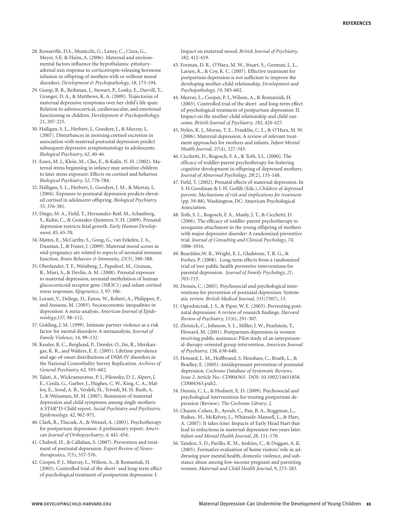- 28. Ronsaville, D.S., Municchi, G., Laney, C., Cizza, G., Meyer, S.E. & Haim, A. (2006). Maternal and environmental factors influence the hypothalamic-pituitaryadrenal axis response to corticotropin-releasing hormone infusion in offspring of mothers with or without mood disorders. *Development & Psychopathology, 18*, 173-194.
- 29. Gump, B. B., Reihman, J., Stewart, P., Lonky, E., Darvill, T., Granger, D. A., & Matthews, K. A. (2009). Trajectories of maternal depressive symptoms over her child's life span: Relation to adrenocortical, cardiovascular, and emotional functioning in children. *Development & Psychopathology, 21*, 207-225.
- 30. Halligan, S. L., Herbert, J., Goodyer, I., & Murray, L. (2007). Disturbances in morning cortisol excretion in association with maternal postnatal depression predict subsequent depressive symptomatology in adolescents. *Biological Psychiatry, 62*, 40-46.
- 31. Essex, M. J., Klein, M., Cho, E., & Kalin, N. H. (2002). Maternal stress beginning in infancy may sensitize children to later stress exposure: Effects on cortisol and behavior. *Biological Psychiatry, 52*, 776-784.
- 32. Halligan, S. L., Herbert, J., Goodyer, I. M., & Murray, L. (2004). Exposure to postnatal depression predicts elevated cortisol in adolescent offspring. *Biological Psychiatry, 55*, 376-381.
- 33. Diego, M. A., Field, T., Hernandez-Reif, M., Schanberg, S., Kuhn, C., & Gonzalez-Quintero, V. H. (2009). Prenatal depression restricts fetal growth. *Early Human Development, 85*, 65-70.
- 34. Mattes, E., McCarthy, S., Gong, G., van Eekelen, J. A., Dunstan, J., & Foster, J. (2009). Maternal mood scores in mid-pregnancy are related to aspects of neonatal immune function. *Brain Behavior & Immunity, 23*(3), 380-388.
- 35. Oberlander, T. F., Weinberg, J., Papsdorf, M., Grunau, R., Misri, S., & Devlin, A. M. (2008). Prenatal exposure to maternal depression, neonatal methylation of human glucocorticoid receptor gene (NR3C1) and infant cortisol stress responses. *Epigenetics, 3*, 97-106.
- 36. Lorant, V., Deliege, D., Eaton, W., Robert, A., Philippot, P., and Ansseau, M. (2003). Socioeconomic inequalities in depression: A meta-analysis. *American Journal of Epidemiology,157,* 98–112.
- 37. Golding, J. M. (1999). Intimate partner violence as a risk factor for mental disorders: A metaanalysis. *Journal of Family Violence, 14*, 99–132.
- 38. Kessler, R. C., Berglund, P., Demler, O., Jin, R., Merikangas, K. R., and Walters, E. E. (2005). Lifetime prevalence and age-of-onset distributions of DSM-IV disorders in the National Comorbidity Survey Replication. *Archives of General Psychiatry, 62,* 593–602.
- 39. Talati, A., Wickramaratne, P. J., Pilowsky, D. J., Alpert, J. E., Cerda, G., Garber, J., Hughes, C. W., King, C. A., Malloy, E., Sood, A. B., Verdeli, H., Trivedi, M. H. Rush, A. J., & Weissman, M. M. (2007). Remission of maternal depression and child symptoms among single mothers: A STAR\*D-Child report. *Social Psychiatry and Psychiatric Epidemiology, 42,* 962-971.
- 40. Clark, R., Tluczek, A., & Wenzel, A. (2003). Psychotherapy for postpartum depression: A preliminary report. *American Journal of Orthopsychiatry*, *4,* 441-454.
- 41. Chabrol, H., & Callahan, S. (2007). Prevention and treatment of postnatal depression. *Expert Review of Neurotherapeutics, 7*(5), 557-576.
- 42. Cooper, P. J., Murray, L., Wilson, A., & Romaniuk, H. (2003). Controlled trial of the short- and long-term effect of psychological treatment of postpartum depression: I.

Impact on maternal mood. *British Journal of Psychiatry, 182,* 412-419.

- 43. Forman, D. R., O'Hara, M. W., Stuart, S., Gorman, L. L., Larsen, K., & Coy, K. C. (2007). Effective treatment for postpartum depression is not sufficient to improve the developing mother-child relationship. *Development and Psychopathology, 19,* 585-602.
- 44. Murray, L., Cooper, P. J., Wilson, A., & Romaniuk, H. (2003). Controlled trial of the short- and long-term effect of psychological treatment of postpartum depression: II. Impact on the mother-child relationship and child outcome. *British Journal of Psychiatry, 182,* 420-427.
- 45. Nylen, K. J., Moran, T. E., Franklin, C. L., & O'Hara, M. W. (2006). Maternal depression: A review of relevant treatment approaches for mothers and infants. *Infant Mental Health Journal, 27*(4)*,* 327-343.
- 46. Cicchetti, D., Rogosch, F. A., & Toth, S.L. (2000). The efficacy of toddler-parent psychotherapy for fostering cognitive development in offspring of depressed mothers. *Journal of Abnormal Psychology, 28*(2), 135-148.
- 47. Field, T. (2002). Prenatal effects of maternal depression. In S. H.Goodman & I. H. Gotlib (Eds.), *Children of depressed parents: Mechanisms of risk and implications for treatment*  (pp. 59-88). Washington, DC: American Psychological Association.
- 48. Toth, S. L., Rogosch, F. A., Manly, J. T., & Cicchetti, D. (2006). The efficacy of toddler-parent psychotherapy to reorganize attachment in the young offspring of mothers with major depressive disorder: A randomized preventive trial. *Journal of Consulting and Clinical Psychology*, *74*, 1006-1016.
- 49. Beardslee,W. R., Wright, E. J., Gladstone, T. R. G., & Forbes, P. (2008). Long-term effects from a randomized trial of two public health preventive interventions for parental depression. *Journal of Family Psychology, 21*, 703-713.
- 50. Dennis, C. (2005). Psychosocial and psychological interventions for prevention of postnatal depression: Systematic review. *British Medical Journal, 331*(7507), 15.
- 51. Ogrodniczuk, J. S., & Piper, W. E. (2003). Preventing postnatal depression: A review of research findings. *Harvard Review of Psychiatry, 11*(6), 291-307.
- 52. Zlotnick, C., Johnson, S. L., Miller, I. W., Pearlstein, T., Howard, M. (2001). Postpartum depression in women receiving public assistance: Pilot study of an interpersonal-therapy-oriented group intervention. *American Journal of Psychiatry, 158*, 638-640.
- 53. Howard, L. M., Hoffbrand, S. Henshaw, C., Boath, L., & Bradley, E. (2005). Antidepressant prevention of postnatal depression. *Cochrane Database of Systematic Reviews, Issue 2.* Article No.: CD004363. DOI: 10.1002/14651858. CD004363.pub2.
- 54. Dennis, C. L., & Hodnett, E. D. (2009). Psychosocial and psychological interventions for treating postpartum depression (Review). *The Cochrane Library*, 2.
- 55. Chazen-Cohen, R., Ayoub, C., Pan, B. A., Roggman, L., Raikes, H., McKelvey, L., Whiteside-Mansell, L., & Hart, A. (2007). It takes time: Impacts of Early Head Start that lead to reductions in maternal depression two years later. *Infant and Mental Health Journal*, *28,* 151-170.
- 56. Tandon, S. D., Parillo, K. M., Jenkins, C., & Duggan, A. K. (2005). Formative evaluation of home visitors' role in addressing poor mental health, domestic violence, and substance abuse among low-income pregnant and parenting women. *Maternal and Child Health Journal*, 9, 273-283.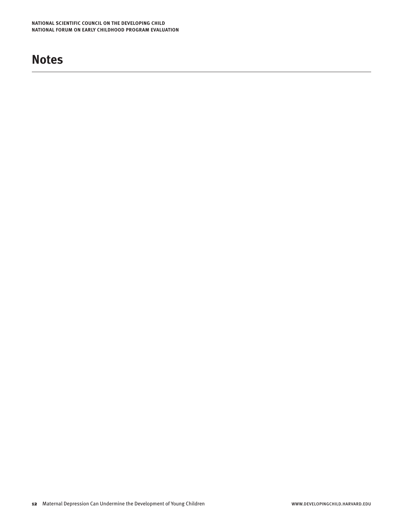# **Notes**